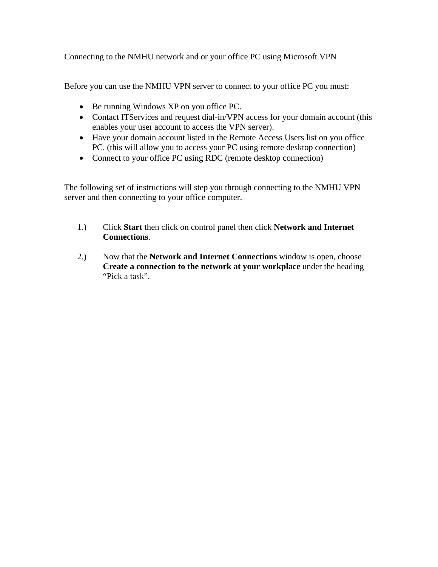Connecting to the NMHU network and or your office PC using Microsoft VPN

Before you can use the NMHU VPN server to connect to your office PC you must:

- Be running Windows XP on you office PC.
- Contact ITServices and request dial-in/VPN access for your domain account (this enables your user account to access the VPN server).
- Have your domain account listed in the Remote Access Users list on you office PC. (this will allow you to access your PC using remote desktop connection)
- Connect to your office PC using RDC (remote desktop connection)

The following set of instructions will step you through connecting to the NMHU VPN server and then connecting to your office computer.

- 1.) Click **Start** then click on control panel then click **Network and Internet Connections**.
- 2.) Now that the **Network and Internet Connections** window is open, choose **Create a connection to the network at your workplace** under the heading "Pick a task".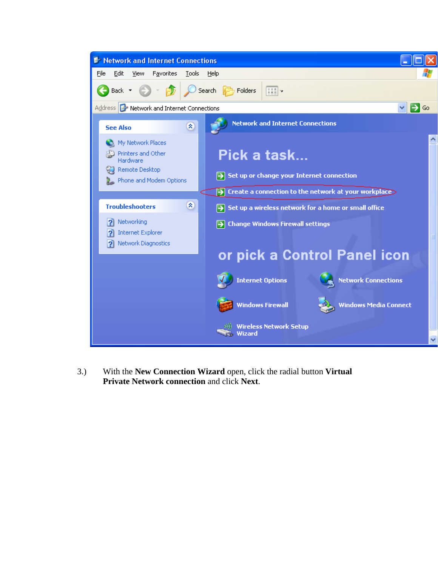

3.) With the **New Connection Wizard** open, click the radial button **Virtual Private Network connection** and click **Next**.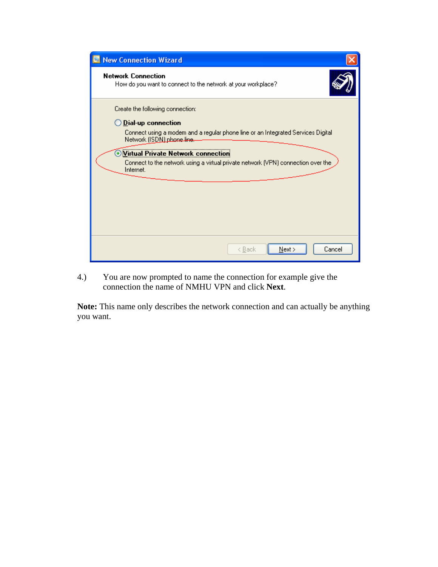| <b>New Connection Wizard</b>                                                                                   |  |  |  |  |
|----------------------------------------------------------------------------------------------------------------|--|--|--|--|
| <b>Network Connection</b><br>How do you want to connect to the network at your workplace?                      |  |  |  |  |
| Create the following connection:<br>$\bigcirc$ Dial-up connection                                              |  |  |  |  |
| Connect using a modem and a regular phone line or an Integrated Services Digital<br>Network (ISDN) phone line. |  |  |  |  |
| Virtual Private Network connection                                                                             |  |  |  |  |
| Connect to the network using a virtual private network (VPN) connection over the<br>Internet.                  |  |  |  |  |
|                                                                                                                |  |  |  |  |
|                                                                                                                |  |  |  |  |
|                                                                                                                |  |  |  |  |
|                                                                                                                |  |  |  |  |
| Cancel<br>Next ><br>< <u>B</u> ack                                                                             |  |  |  |  |

4.) You are now prompted to name the connection for example give the connection the name of NMHU VPN and click **Next**.

**Note:** This name only describes the network connection and can actually be anything you want.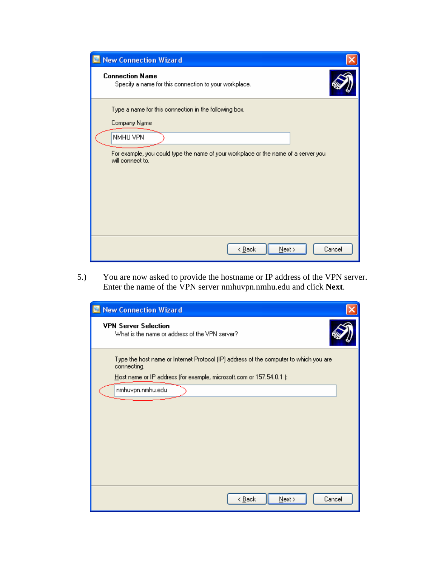| <b>New Connection Wizard</b>                                                                                                                                                                |  |  |  |  |
|---------------------------------------------------------------------------------------------------------------------------------------------------------------------------------------------|--|--|--|--|
| <b>Connection Name</b><br>Specify a name for this connection to your workplace.                                                                                                             |  |  |  |  |
| Type a name for this connection in the following box.<br>Company Name<br>NMHU VPN<br>For example, you could type the name of your workplace or the name of a server you<br>will connect to. |  |  |  |  |
| Cancel<br>< <u>B</u> ack<br>$N$ ext >                                                                                                                                                       |  |  |  |  |

5.) You are now asked to provide the hostname or IP address of the VPN server. Enter the name of the VPN server nmhuvpn.nmhu.edu and click **Next**.

| <b>New Connection Wizard</b>                                                                                                                                                 |  |  |  |  |
|------------------------------------------------------------------------------------------------------------------------------------------------------------------------------|--|--|--|--|
| <b>VPN Server Selection</b><br>What is the name or address of the VPN server?                                                                                                |  |  |  |  |
| Type the host name or Internet Protocol (IP) address of the computer to which you are<br>connecting.<br>Host name or IP address (for example, microsoft.com or 157.54.0.1 ): |  |  |  |  |
| nmhuvpn.nmhu.edu                                                                                                                                                             |  |  |  |  |
|                                                                                                                                                                              |  |  |  |  |
|                                                                                                                                                                              |  |  |  |  |
|                                                                                                                                                                              |  |  |  |  |
| Cancel<br>< <u>B</u> ack<br>$N$ ext >                                                                                                                                        |  |  |  |  |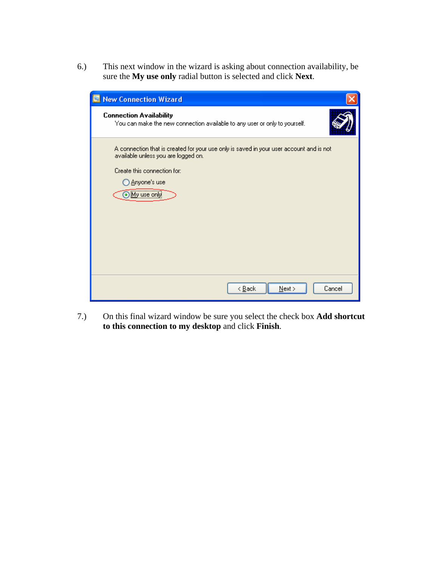6.) This next window in the wizard is asking about connection availability, be sure the **My use only** radial button is selected and click **Next**.

| <b>New Connection Wizard</b>                                                                                                                                                                           |  |  |  |
|--------------------------------------------------------------------------------------------------------------------------------------------------------------------------------------------------------|--|--|--|
| <b>Connection Availability</b><br>You can make the new connection available to any user or only to yourself.                                                                                           |  |  |  |
| A connection that is created for your use only is saved in your user account and is not<br>available unless you are logged on.<br>Create this connection for:<br>◯ <u>A</u> nyone's use<br>My use only |  |  |  |
| Cancel<br>< <u>B</u> ack<br>$N$ ext >                                                                                                                                                                  |  |  |  |

7.) On this final wizard window be sure you select the check box **Add shortcut to this connection to my desktop** and click **Finish**.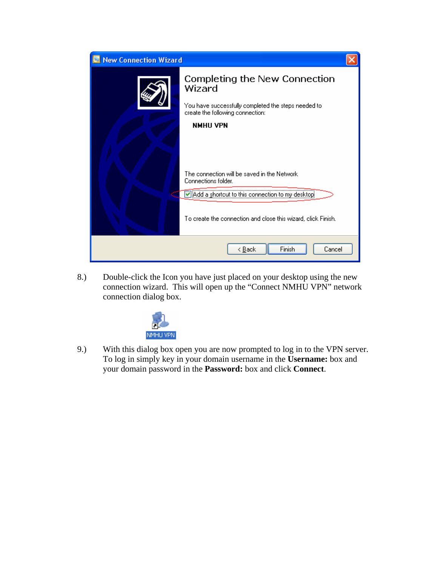

8.) Double-click the Icon you have just placed on your desktop using the new connection wizard. This will open up the "Connect NMHU VPN" network connection dialog box.



9.) With this dialog box open you are now prompted to log in to the VPN server. To log in simply key in your domain username in the **Username:** box and your domain password in the **Password:** box and click **Connect**.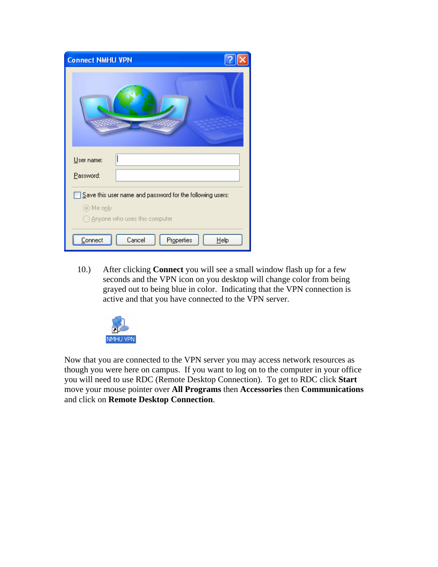| <b>Connect NMHU VPN</b>                                           |  |  |  |
|-------------------------------------------------------------------|--|--|--|
|                                                                   |  |  |  |
| User name:                                                        |  |  |  |
| Password:                                                         |  |  |  |
| $\Sigma$ ave this user name and password for the following users: |  |  |  |
| ⊙ Me only<br>◯ Anyone who uses this computer                      |  |  |  |
| Cancel<br>Properties<br>Connect<br>Help                           |  |  |  |

10.) After clicking **Connect** you will see a small window flash up for a few seconds and the VPN icon on you desktop will change color from being grayed out to being blue in color. Indicating that the VPN connection is active and that you have connected to the VPN server.



Now that you are connected to the VPN server you may access network resources as though you were here on campus. If you want to log on to the computer in your office you will need to use RDC (Remote Desktop Connection). To get to RDC click **Start** move your mouse pointer over **All Programs** then **Accessories** then **Communications** and click on **Remote Desktop Connection**.